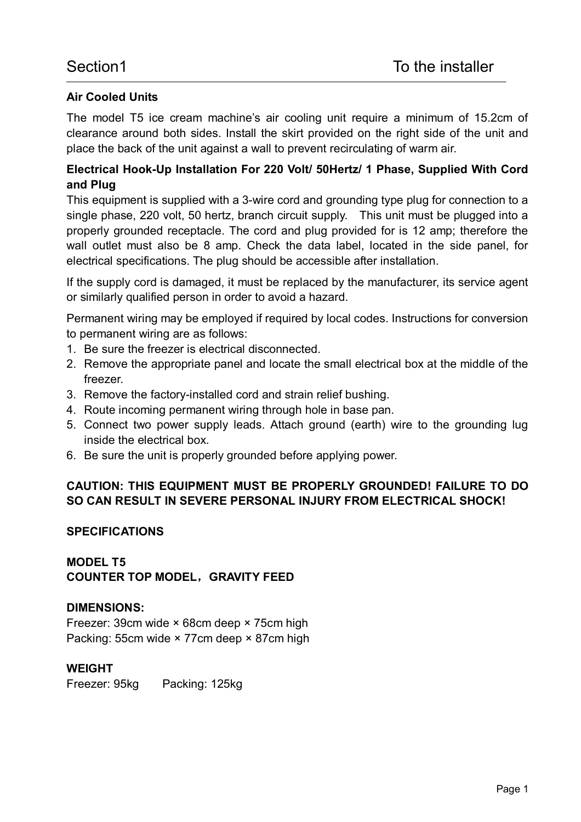## **Air Cooled Units**

The model T5 ice cream machine's air cooling unit require a minimum of 15.2cm of clearance around both sides. Install the skirt provided on the right side of the unit and place the back of the unit against a wall to prevent recirculating of warm air.

# **Electrical Hook-Up Installation For 220 Volt/ 50Hertz/ 1 Phase, Supplied With Cord and Plug**

This equipment is supplied with a 3-wire cord and grounding type plug for connection to a single phase, 220 volt, 50 hertz, branch circuit supply. This unit must be plugged into a properly grounded receptacle. The cord and plug provided for is 12 amp; therefore the wall outlet must also be 8 amp. Check the data label, located in the side panel, for electrical specifications. The plug should be accessible after installation.

If the supply cord is damaged, it must be replaced by the manufacturer, its service agent or similarly qualified person in order to avoid a hazard.

Permanent wiring may be employed if required by local codes. Instructions for conversion to permanent wiring are as follows:

- 1. Be sure the freezer is electrical disconnected.
- 2. Remove the appropriate panel and locate the small electrical box at the middle of the freezer.
- 3. Remove the factory-installed cord and strain relief bushing.
- 4. Route incoming permanent wiring through hole in base pan.
- 5. Connect two power supply leads. Attach ground (earth) wire to the grounding lug inside the electrical box.
- 6. Be sure the unit is properly grounded before applying power.

# **CAUTION: THIS EQUIPMENT MUST BE PROPERLY GROUNDED! FAILURE TO DO SO CAN RESULT IN SEVERE PERSONAL INJURY FROM ELECTRICAL SHOCK!**

#### **SPECIFICATIONS**

#### **MODEL T5 COUNTER TOP MODEL,GRAVITY FEED**

### **DIMENSIONS:**

Freezer: 39cm wide × 68cm deep × 75cm high Packing: 55cm wide × 77cm deep × 87cm high

#### **WEIGHT**

Freezer: 95kg Packing: 125kg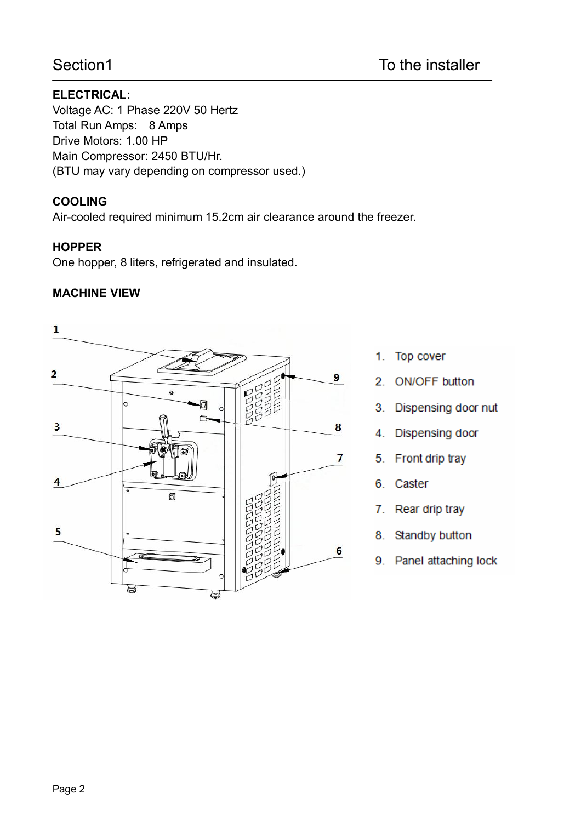# **ELECTRICAL:**

Voltage AC: 1 Phase 220V 50 Hertz Total Run Amps: 8 Amps Drive Motors: 1.00 HP Main Compressor: 2450 BTU/Hr. (BTU may vary depending on compressor used.)

## **COOLING**

Air-cooled required minimum 15.2cm air clearance around the freezer.

### **HOPPER**

One hopper, 8 liters, refrigerated and insulated.

# **MACHINE VIEW**



- 1. Top cover
- 2. ON/OFF button
- 3. Dispensing door nut
- 4. Dispensing door
- 5. Front drip tray
- 6. Caster
- Rear drip tray 7.
- 8. Standby button
- 9. Panel attaching lock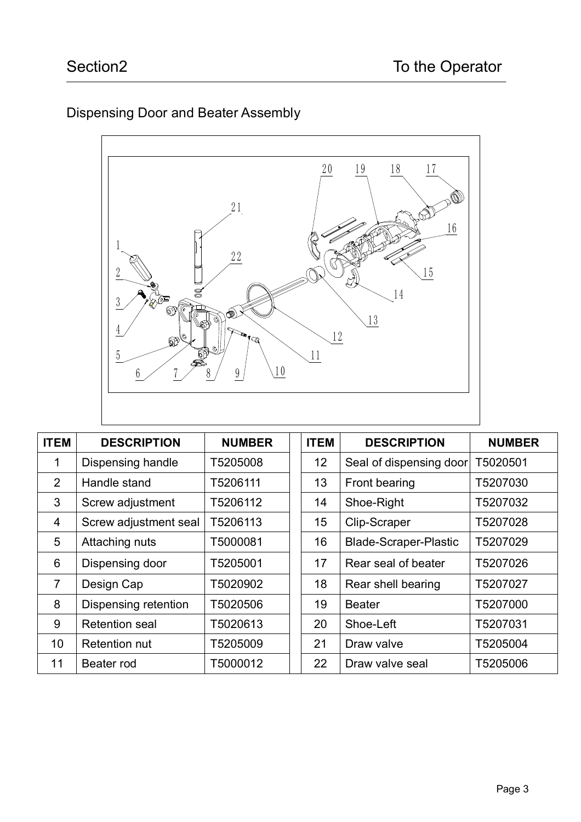# Dispensing Door and Beater Assembly



| <b>ITEM</b>     | <b>DESCRIPTION</b>    | <b>NUMBER</b> | <b>ITEM</b> | <b>DESCRIPTION</b>           | <b>NUMBER</b> |
|-----------------|-----------------------|---------------|-------------|------------------------------|---------------|
| $\overline{1}$  | Dispensing handle     | T5205008      | 12          | Seal of dispensing door      | T5020501      |
| $\overline{2}$  | Handle stand          | T5206111      | 13          | Front bearing                | T5207030      |
| 3               | Screw adjustment      | T5206112      | 14          | Shoe-Right                   | T5207032      |
| 4               | Screw adjustment seal | T5206113      | 15          | Clip-Scraper                 | T5207028      |
| 5               | Attaching nuts        | T5000081      | 16          | <b>Blade-Scraper-Plastic</b> | T5207029      |
| 6               | Dispensing door       | T5205001      | 17          | Rear seal of beater          | T5207026      |
| $\overline{7}$  | Design Cap            | T5020902      | 18          | Rear shell bearing           | T5207027      |
| 8               | Dispensing retention  | T5020506      | 19          | <b>Beater</b>                | T5207000      |
| 9               | <b>Retention seal</b> | T5020613      | 20          | Shoe-Left                    | T5207031      |
| 10 <sup>1</sup> | <b>Retention nut</b>  | T5205009      | 21          | Draw valve                   | T5205004      |
| 11              | Beater rod            | T5000012      | 22          | Draw valve seal              | T5205006      |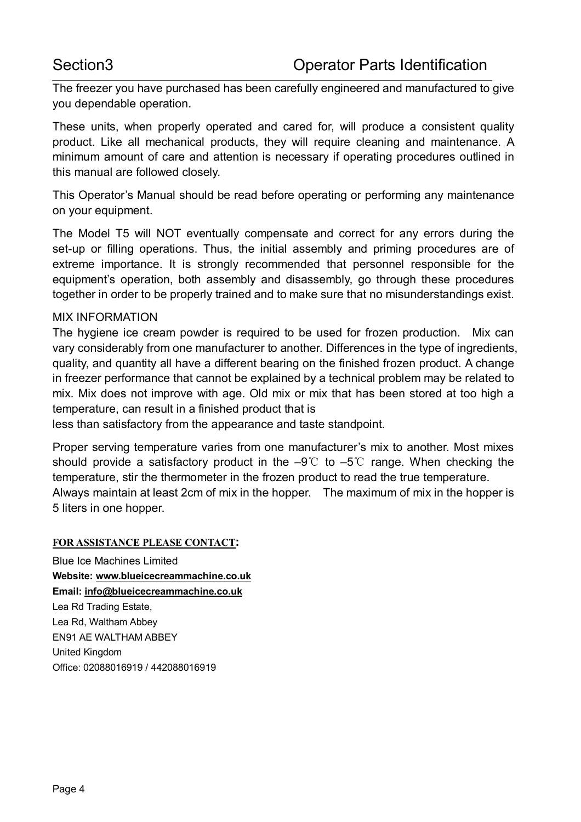The freezer you have purchased has been carefully engineered and manufactured to give you dependable operation.

These units, when properly operated and cared for, will produce a consistent quality product. Like all mechanical products, they will require cleaning and maintenance. A minimum amount of care and attention is necessary if operating procedures outlined in this manual are followed closely.

This Operator's Manual should be read before operating or performing any maintenance on your equipment.

The Model T5 will NOT eventually compensate and correct for any errors during the set-up or filling operations. Thus, the initial assembly and priming procedures are of extreme importance. It is strongly recommended that personnel responsible for the equipment's operation, both assembly and disassembly, go through these procedures together in order to be properly trained and to make sure that no misunderstandings exist.

#### MIX INFORMATION

The hygiene ice cream powder is required to be used for frozen production. Mix can vary considerably from one manufacturer to another. Differences in the type of ingredients, quality, and quantity all have a different bearing on the finished frozen product. A change in freezer performance that cannot be explained by a technical problem may be related to mix. Mix does not improve with age. Old mix or mix that has been stored at too high a temperature, can result in a finished product that is

less than satisfactory from the appearance and taste standpoint.

Proper serving temperature varies from one manufacturer's mix to another. Most mixes should provide a satisfactory product in the  $-9^{\circ}$  to  $-5^{\circ}$  range. When checking the temperature, stir the thermometer in the frozen product to read the true temperature. Always maintain at least 2cm of mix in the hopper. The maximum of mix in the hopper is 5 liters in one hopper.

#### **FOR ASSISTANCE PLEASE CONTACT:**

Blue Ice Machines Limited **Website: www.blueicecreammachine.co.uk Email: info@blueicecreammachine.co.uk** Lea Rd Trading Estate, Lea Rd, Waltham Abbey EN91 AE WALTHAM ABBEY United Kingdom Office: 02088016919 / 442088016919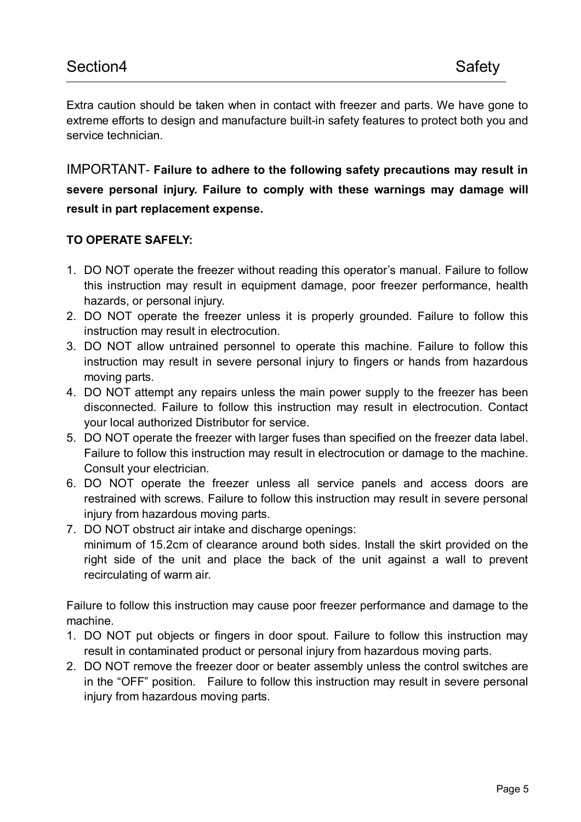Extra caution should be taken when in contact with freezer and parts. We have gone to extreme efforts to design and manufacture built-in safety features to protect both you and service technician.

IMPORTANT- **Failure to adhere to the following safety precautions may result in severe personal injury. Failure to comply with these warnings may damage will result in part replacement expense.**

# **TO OPERATE SAFELY:**

- 1. DO NOT operate the freezer without reading this operator's manual. Failure to follow this instruction may result in equipment damage, poor freezer performance, health hazards, or personal injury.
- 2. DO NOT operate the freezer unless it is properly grounded. Failure to follow this instruction may result in electrocution.
- 3. DO NOT allow untrained personnel to operate this machine. Failure to follow this instruction may result in severe personal injury to fingers or hands from hazardous moving parts.
- 4. DO NOT attempt any repairs unless the main power supply to the freezer has been disconnected. Failure to follow this instruction may result in electrocution. Contact your local authorized Distributor for service.
- 5. DO NOT operate the freezer with larger fuses than specified on the freezer data label. Failure to follow this instruction may result in electrocution or damage to the machine. Consult your electrician.
- 6. DO NOT operate the freezer unless all service panels and access doors are restrained with screws. Failure to follow this instruction may result in severe personal injury from hazardous moving parts.
- 7. DO NOT obstruct air intake and discharge openings: minimum of 15.2cm of clearance around both sides. Install the skirt provided on the right side of the unit and place the back of the unit against a wall to prevent recirculating of warm air.

Failure to follow this instruction may cause poor freezer performance and damage to the machine.

- 1. DO NOT put objects or fingers in door spout. Failure to follow this instruction may result in contaminated product or personal injury from hazardous moving parts.
- 2. DO NOT remove the freezer door or beater assembly unless the control switches are in the "OFF" position. Failure to follow this instruction may result in severe personal injury from hazardous moving parts.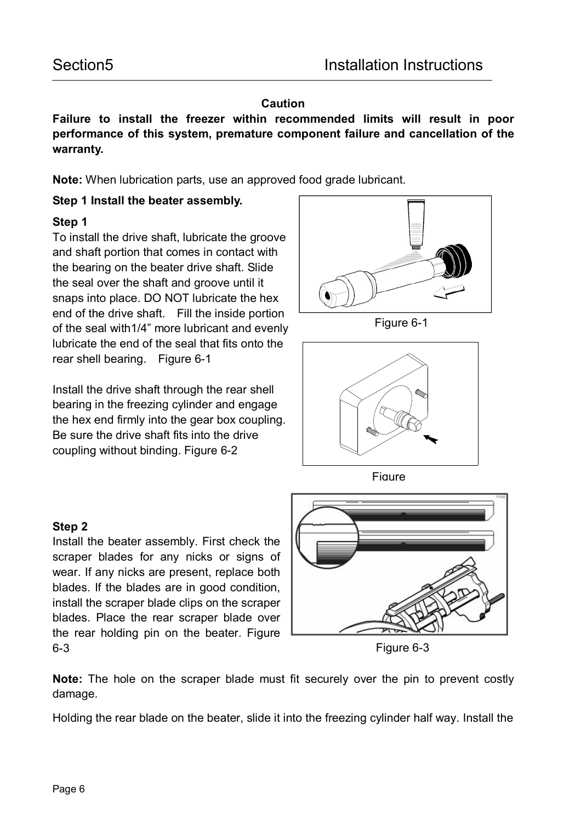### **Caution**

**Failure to install the freezer within recommended limits will result in poor performance of this system, premature component failure and cancellation of the warranty.**

**Note:** When lubrication parts, use an approved food grade lubricant.

# **Step 1 Install the beater assembly.**

# **Step 1**

To install the drive shaft, lubricate the groove and shaft portion that comes in contact with the bearing on the beater drive shaft. Slide the seal over the shaft and groove until it snaps into place. DO NOT lubricate the hex end of the drive shaft. Fill the inside portion of the seal with1/4" more lubricant and evenly lubricate the end of the seal that fits onto the rear shell bearing. Figure 6-1

Install the drive shaft through the rear shell bearing in the freezing cylinder and engage the hex end firmly into the gear box coupling. Be sure the drive shaft fits into the drive coupling without binding. Figure 6-2



Figure 6-1





# **Step 2**

Install the beater assembly. First check the scraper blades for any nicks or signs of wear. If any nicks are present, replace both blades. If the blades are in good condition, install the scraper blade clips on the scraper blades. Place the rear scraper blade over the rear holding pin on the beater. Figure 6-3



Figure 6-3

**Note:** The hole on the scraper blade must fit securely over the pin to prevent costly damage.

Holding the rear blade on the beater, slide it into the freezing cylinder half way. Install the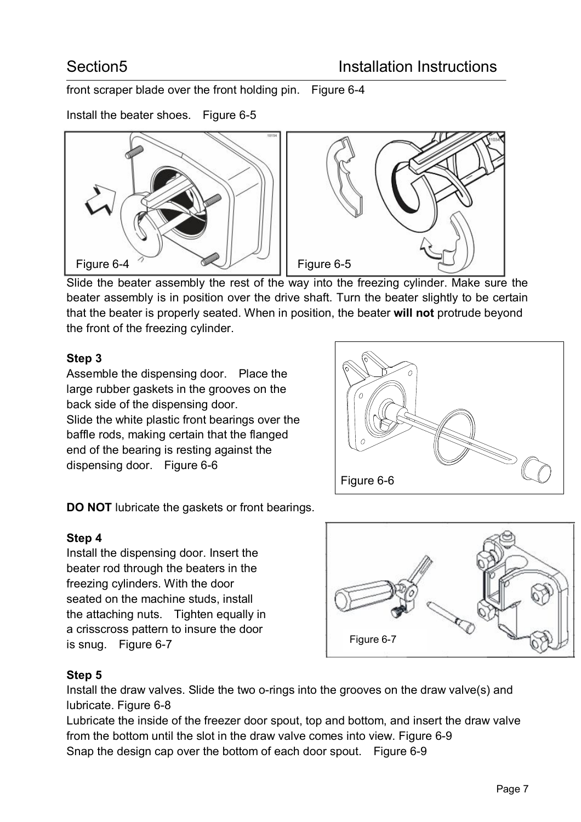front scraper blade over the front holding pin. Figure 6-4

Install the beater shoes. Figure 6-5



Slide the beater assembly the rest of the way into the freezing cylinder. Make sure the beater assembly is in position over the drive shaft. Turn the beater slightly to be certain that the beater is properly seated. When in position, the beater **will not** protrude beyond the front of the freezing cylinder.

# **Step 3**

Assemble the dispensing door. Place the large rubber gaskets in the grooves on the back side of the dispensing door. Slide the white plastic front bearings over the baffle rods, making certain that the flanged end of the bearing is resting against the dispensing door. Figure 6-6

Figure 6-6

**DO NOT** lubricate the gaskets or front bearings.

# **Step 4**

Install the dispensing door. Insert the beater rod through the beaters in the freezing cylinders. With the door seated on the machine studs, install the attaching nuts. Tighten equally in a crisscross pattern to insure the door is snug. Figure 6-7



# **Step 5**

Install the draw valves. Slide the two o-rings into the grooves on the draw valve(s) and lubricate. Figure 6-8

Lubricate the inside of the freezer door spout, top and bottom, and insert the draw valve from the bottom until the slot in the draw valve comes into view. Figure 6-9 Snap the design cap over the bottom of each door spout. Figure 6-9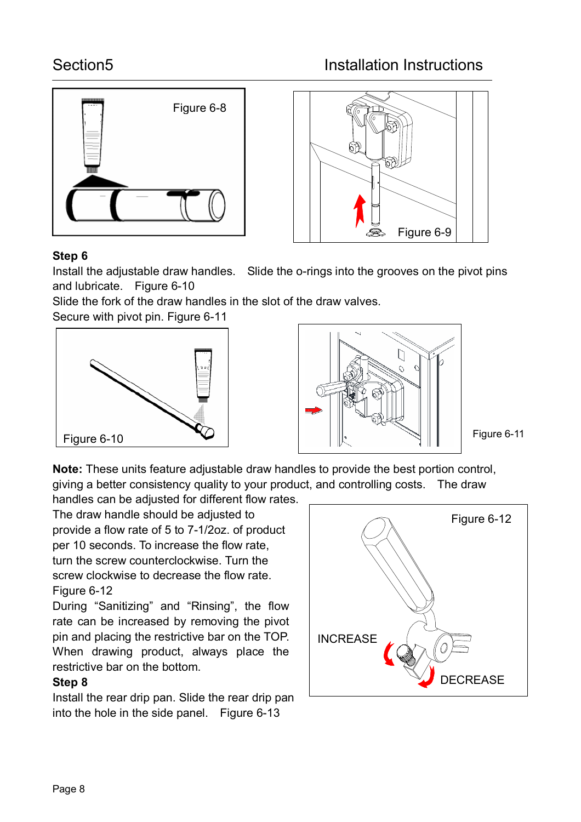



# **Step 6**

Install the adjustable draw handles. Slide the o-rings into the grooves on the pivot pins and lubricate. Figure 6-10

Slide the fork of the draw handles in the slot of the draw valves.

Secure with pivot pin. Figure 6-11





Figure 6-11

**Note:** These units feature adjustable draw handles to provide the best portion control, giving a better consistency quality to your product, and controlling costs. The draw

handles can be adjusted for different flow rates. The draw handle should be adjusted to provide a flow rate of 5 to 7-1/2oz. of product per 10 seconds. To increase the flow rate, turn the screw counterclockwise. Turn the screw clockwise to decrease the flow rate. Figure 6-12

During "Sanitizing" and "Rinsing", the flow rate can be increased by removing the pivot pin and placing the restrictive bar on the TOP. When drawing product, always place the restrictive bar on the bottom.

# **Step 8**

Install the rear drip pan. Slide the rear drip pan into the hole in the side panel. Figure 6-13

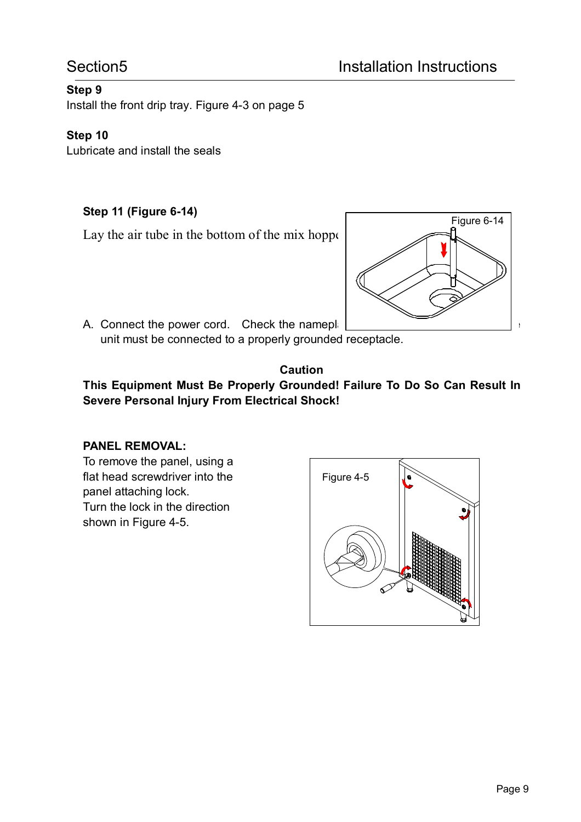# **Step 9**

Install the front drip tray. Figure 4-3 on page 5

## **Step 10**

Lubricate and install the seals

# **Step 11 (Figure 6-14)**

Lay the air tube in the bottom of the mix hopper



A. Connect the power cord. Check the nameple unit must be connected to a properly grounded receptacle.

### **Caution**

**This Equipment Must Be Properly Grounded! Failure To Do So Can Result In Severe Personal Injury From Electrical Shock!**

### **PANEL REMOVAL:**

To remove the panel, using a flat head screwdriver into the panel attaching lock. Turn the lock in the direction shown in Figure 4-5.

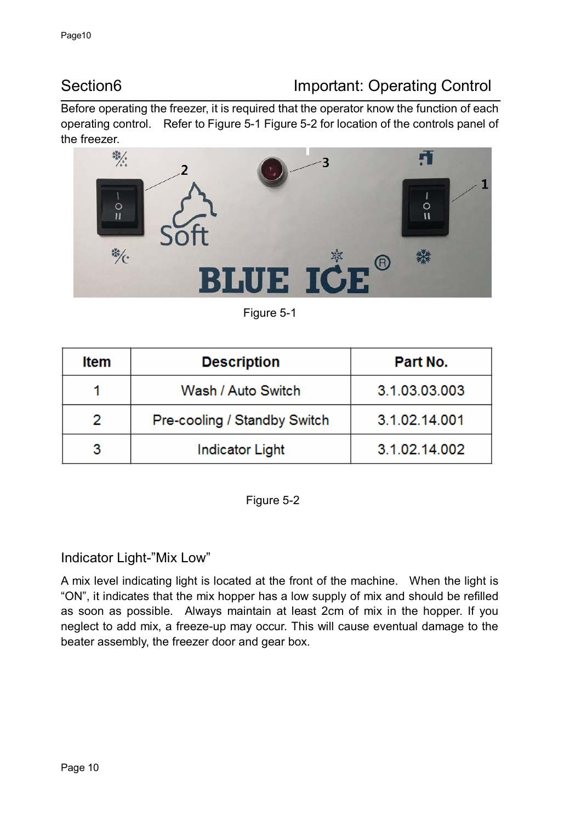# Section6 **Important: Operating Control**

Before operating the freezer, it is required that the operator know the function of each operating control. Refer to Figure 5-1 Figure 5-2 for location of the controls panel of the freezer.



Figure 5-1

| Item | <b>Description</b>           | Part No.      |
|------|------------------------------|---------------|
|      | Wash / Auto Switch           | 3.1.03.03.003 |
| 2    | Pre-cooling / Standby Switch | 3.1.02.14.001 |
|      | <b>Indicator Light</b>       | 3.1.02.14.002 |

Figure 5-2

# Indicator Light-"Mix Low"

A mix level indicating light is located at the front of the machine. When the light is "ON", it indicates that the mix hopper has a low supply of mix and should be refilled as soon as possible. Always maintain at least 2cm of mix in the hopper. If you neglect to add mix, a freeze-up may occur. This will cause eventual damage to the beater assembly, the freezer door and gear box.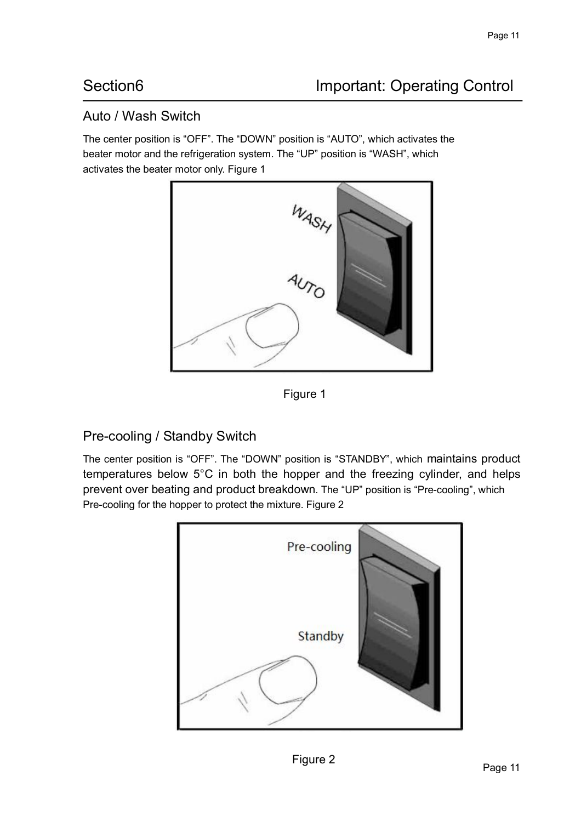# Auto / Wash Switch

The center position is "OFF". The "DOWN" position is "AUTO", which activates the beater motor and the refrigeration system. The "UP" position is "WASH", which activates the beater motor only. Figure 1



Figure 1

# Pre-cooling / Standby Switch

The center position is "OFF". The "DOWN" position is "STANDBY", which maintains product temperatures below 5°C in both the hopper and the freezing cylinder, and helps prevent over beating and product breakdown. The "UP" position is "Pre-cooling", which Pre-cooling for the hopper to protect the mixture. Figure 2

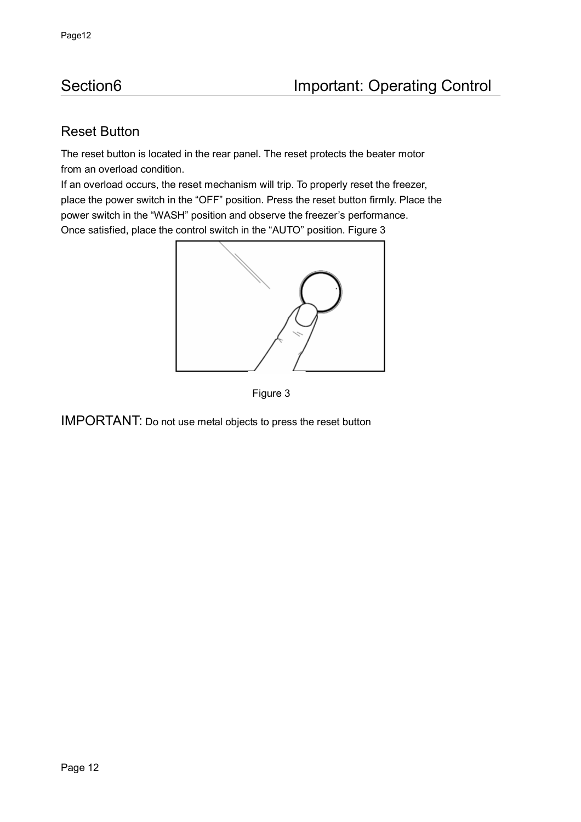# Reset Button

The reset button is located in the rear panel. The reset protects the beater motor from an overload condition.

If an overload occurs, the reset mechanism will trip. To properly reset the freezer, place the power switch in the "OFF" position. Press the reset button firmly. Place the power switch in the "WASH" position and observe the freezer's performance. Once satisfied, place the control switch in the "AUTO" position. Figure 3





IMPORTANT: Do not use metal objects to press the reset button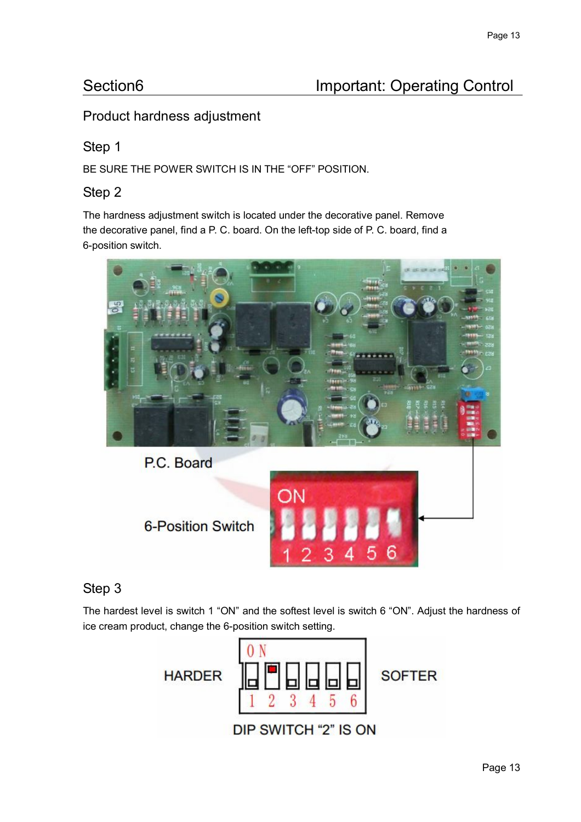# Product hardness adjustment

# Step 1

BE SURE THE POWER SWITCH IS IN THE "OFF" POSITION.

# Step 2

The hardness adjustment switch is located under the decorative panel. Remove the decorative panel, find a P. C. board. On the left-top side of P. C. board, find a 6-position switch.



# Step 3

The hardest level is switch 1 "ON" and the softest level is switch 6 "ON". Adjust the hardness of ice cream product, change the 6-position switch setting.

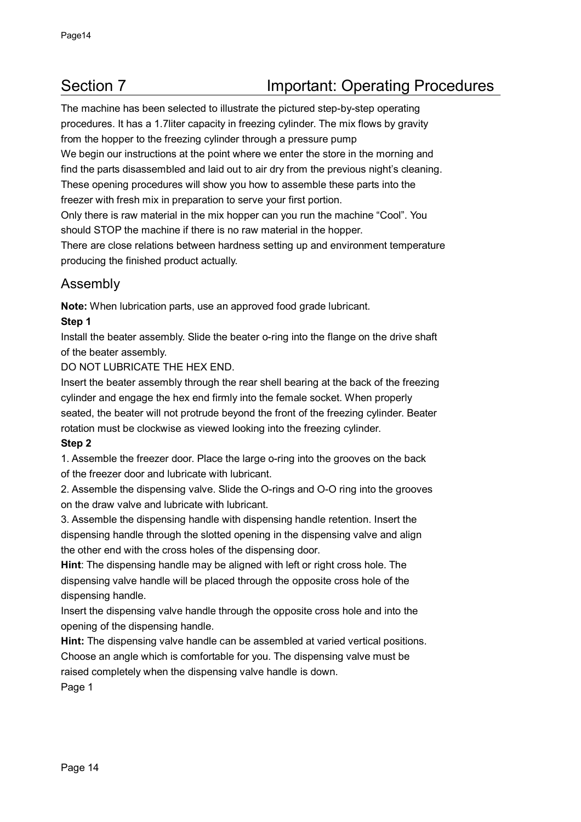The machine has been selected to illustrate the pictured step-by-step operating procedures. It has a 1.7liter capacity in freezing cylinder. The mix flows by gravity from the hopper to the freezing cylinder through a pressure pump We begin our instructions at the point where we enter the store in the morning and find the parts disassembled and laid out to air dry from the previous night's cleaning. These opening procedures will show you how to assemble these parts into the freezer with fresh mix in preparation to serve your first portion.

Only there is raw material in the mix hopper can you run the machine "Cool". You should STOP the machine if there is no raw material in the hopper.

There are close relations between hardness setting up and environment temperature producing the finished product actually.

# Assembly

**Note:** When lubrication parts, use an approved food grade lubricant.

#### **Step 1**

Install the beater assembly. Slide the beater o-ring into the flange on the drive shaft of the beater assembly.

DO NOT LUBRICATE THE HEX END.

Insert the beater assembly through the rear shell bearing at the back of the freezing cylinder and engage the hex end firmly into the female socket. When properly seated, the beater will not protrude beyond the front of the freezing cylinder. Beater rotation must be clockwise as viewed looking into the freezing cylinder.

#### **Step 2**

1. Assemble the freezer door. Place the large o-ring into the grooves on the back of the freezer door and lubricate with lubricant.

2. Assemble the dispensing valve. Slide the O-rings and O-O ring into the grooves on the draw valve and lubricate with lubricant.

3. Assemble the dispensing handle with dispensing handle retention. Insert the dispensing handle through the slotted opening in the dispensing valve and align the other end with the cross holes of the dispensing door.

**Hint**: The dispensing handle may be aligned with left or right cross hole. The dispensing valve handle will be placed through the opposite cross hole of the dispensing handle.

Insert the dispensing valve handle through the opposite cross hole and into the opening of the dispensing handle.

**Hint:** The dispensing valve handle can be assembled at varied vertical positions. Choose an angle which is comfortable for you. The dispensing valve must be raised completely when the dispensing valve handle is down.

Page 1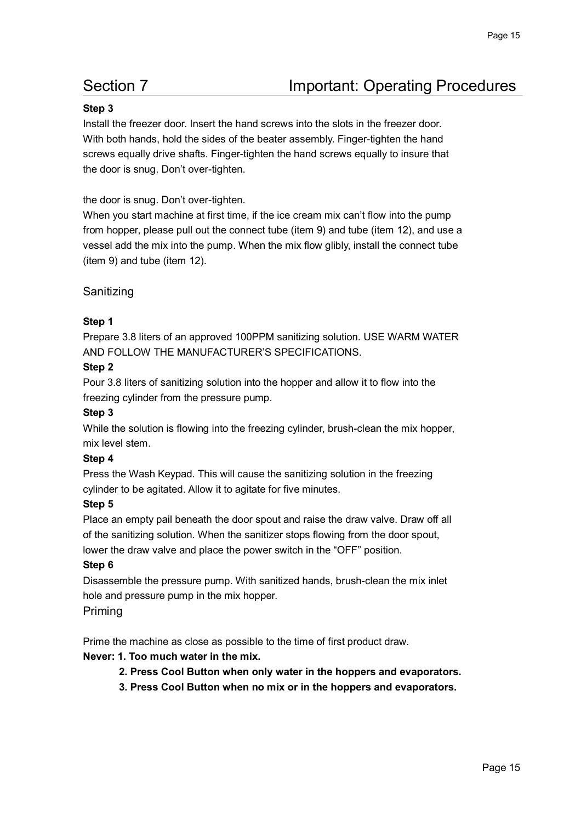#### **Step 3**

Install the freezer door. Insert the hand screws into the slots in the freezer door. With both hands, hold the sides of the beater assembly. Finger-tighten the hand screws equally drive shafts. Finger-tighten the hand screws equally to insure that the door is snug. Don't over-tighten.

#### the door is snug. Don't over-tighten.

When you start machine at first time, if the ice cream mix can't flow into the pump from hopper, please pull out the connect tube (item 9) and tube (item 12), and use a vessel add the mix into the pump. When the mix flow glibly, install the connect tube (item 9) and tube (item 12).

#### Sanitizing

#### **Step 1**

Prepare 3.8 liters of an approved 100PPM sanitizing solution. USE WARM WATER AND FOLLOW THE MANUFACTURER'S SPECIFICATIONS.

#### **Step 2**

Pour 3.8 liters of sanitizing solution into the hopper and allow it to flow into the freezing cylinder from the pressure pump.

#### **Step 3**

While the solution is flowing into the freezing cylinder, brush-clean the mix hopper, mix level stem.

#### **Step 4**

Press the Wash Keypad. This will cause the sanitizing solution in the freezing cylinder to be agitated. Allow it to agitate for five minutes.

#### **Step 5**

Place an empty pail beneath the door spout and raise the draw valve. Draw off all of the sanitizing solution. When the sanitizer stops flowing from the door spout, lower the draw valve and place the power switch in the "OFF" position.

#### **Step 6**

Disassemble the pressure pump. With sanitized hands, brush-clean the mix inlet hole and pressure pump in the mix hopper.

#### Priming

Prime the machine as close as possible to the time of first product draw.

#### **Never: 1. Too much water in the mix.**

- **2. Press Cool Button when only water in the hoppers and evaporators.**
- **3. Press Cool Button when no mix or in the hoppers and evaporators.**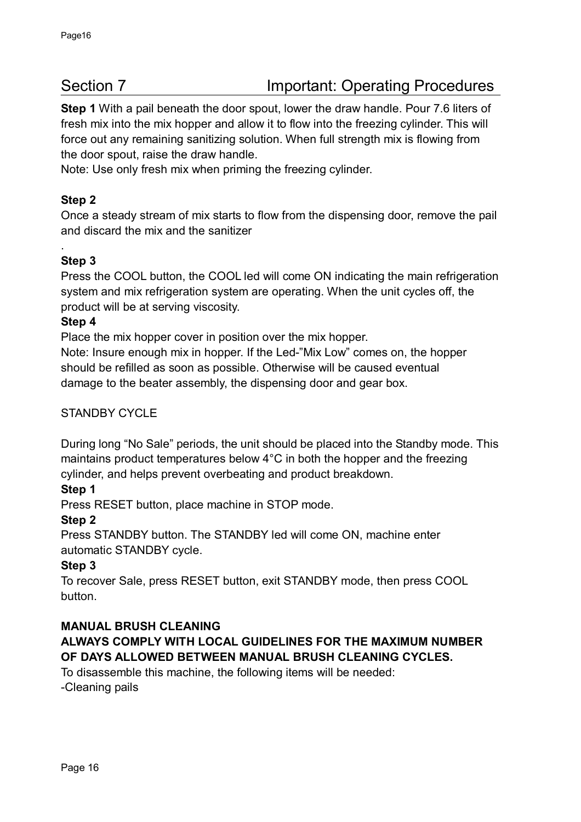**Step 1** With a pail beneath the door spout, lower the draw handle. Pour 7.6 liters of fresh mix into the mix hopper and allow it to flow into the freezing cylinder. This will force out any remaining sanitizing solution. When full strength mix is flowing from the door spout, raise the draw handle.

Note: Use only fresh mix when priming the freezing cylinder.

# **Step 2**

Once a steady stream of mix starts to flow from the dispensing door, remove the pail and discard the mix and the sanitizer

# **Step 3**

.

Press the COOL button, the COOL led will come ON indicating the main refrigeration system and mix refrigeration system are operating. When the unit cycles off, the product will be at serving viscosity.

#### **Step 4**

Place the mix hopper cover in position over the mix hopper.

Note: Insure enough mix in hopper. If the Led-"Mix Low" comes on, the hopper should be refilled as soon as possible. Otherwise will be caused eventual damage to the beater assembly, the dispensing door and gear box.

### STANDBY CYCLE

During long "No Sale" periods, the unit should be placed into the Standby mode. This maintains product temperatures below 4°C in both the hopper and the freezing cylinder, and helps prevent overbeating and product breakdown.

### **Step 1**

Press RESET button, place machine in STOP mode.

#### **Step 2**

Press STANDBY button. The STANDBY led will come ON, machine enter automatic STANDBY cycle.

### **Step 3**

To recover Sale, press RESET button, exit STANDBY mode, then press COOL button.

#### **MANUAL BRUSH CLEANING**

# **ALWAYS COMPLY WITH LOCAL GUIDELINES FOR THE MAXIMUM NUMBER OF DAYS ALLOWED BETWEEN MANUAL BRUSH CLEANING CYCLES.**

To disassemble this machine, the following items will be needed: -Cleaning pails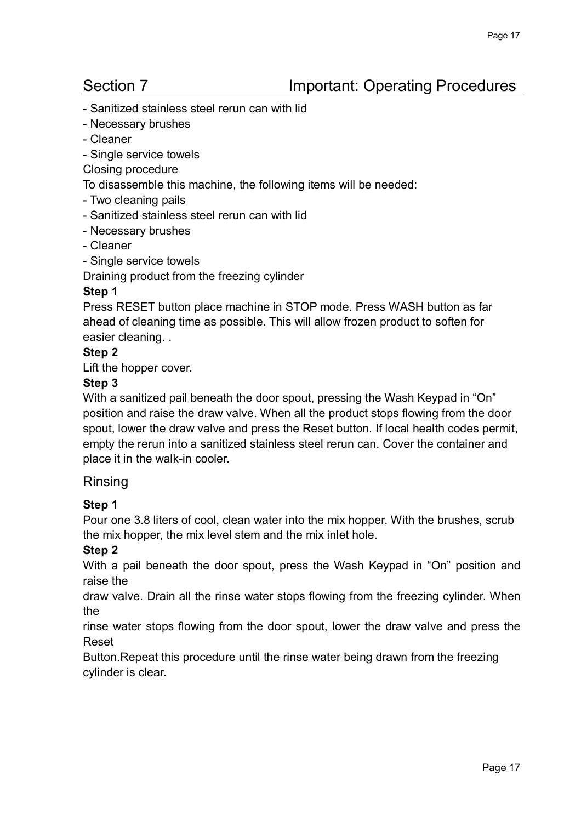- Sanitized stainless steel rerun can with lid
- Necessary brushes
- Cleaner
- Single service towels
- Closing procedure

To disassemble this machine, the following items will be needed:

- Two cleaning pails
- Sanitized stainless steel rerun can with lid
- Necessary brushes
- Cleaner
- Single service towels

Draining product from the freezing cylinder

#### **Step 1**

Press RESET button place machine in STOP mode. Press WASH button as far ahead of cleaning time as possible. This will allow frozen product to soften for easier cleaning. .

#### **Step 2**

Lift the hopper cover.

#### **Step 3**

With a sanitized pail beneath the door spout, pressing the Wash Keypad in "On" position and raise the draw valve. When all the product stops flowing from the door spout, lower the draw valve and press the Reset button. If local health codes permit, empty the rerun into a sanitized stainless steel rerun can. Cover the container and place it in the walk-in cooler.

#### Rinsing

#### **Step 1**

Pour one 3.8 liters of cool, clean water into the mix hopper. With the brushes, scrub the mix hopper, the mix level stem and the mix inlet hole.

#### **Step 2**

With a pail beneath the door spout, press the Wash Keypad in "On" position and raise the

draw valve. Drain all the rinse water stops flowing from the freezing cylinder. When the

rinse water stops flowing from the door spout, lower the draw valve and press the Reset

Button.Repeat this procedure until the rinse water being drawn from the freezing cylinder is clear.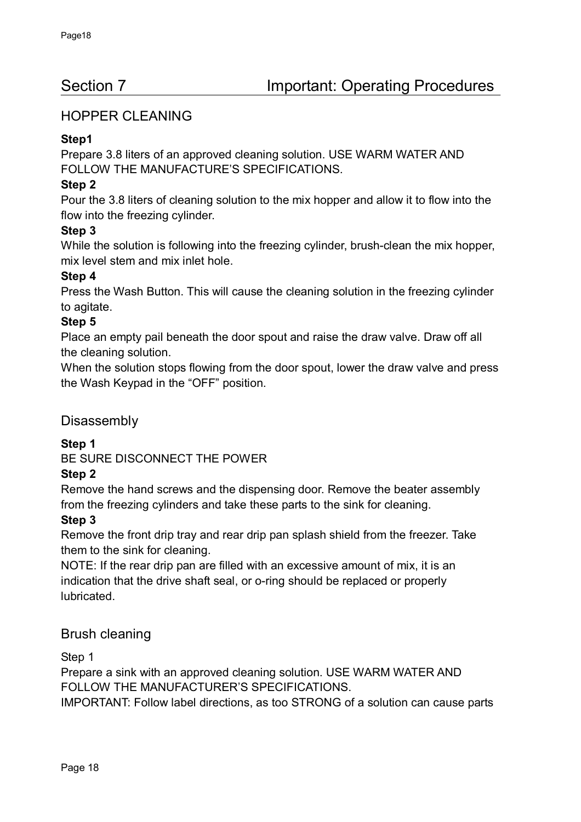# HOPPER CLEANING

## **Step1**

Prepare 3.8 liters of an approved cleaning solution. USE WARM WATER AND FOLLOW THE MANUFACTURE'S SPECIFICATIONS.

## **Step 2**

Pour the 3.8 liters of cleaning solution to the mix hopper and allow it to flow into the flow into the freezing cylinder.

# **Step 3**

While the solution is following into the freezing cylinder, brush-clean the mix hopper, mix level stem and mix inlet hole.

### **Step 4**

Press the Wash Button. This will cause the cleaning solution in the freezing cylinder to agitate.

### **Step 5**

Place an empty pail beneath the door spout and raise the draw valve. Draw off all the cleaning solution.

When the solution stops flowing from the door spout, lower the draw valve and press the Wash Keypad in the "OFF" position.

# Disassembly

**Step 1**

BE SURE DISCONNECT THE POWER

### **Step 2**

Remove the hand screws and the dispensing door. Remove the beater assembly from the freezing cylinders and take these parts to the sink for cleaning.

### **Step 3**

Remove the front drip tray and rear drip pan splash shield from the freezer. Take them to the sink for cleaning.

NOTE: If the rear drip pan are filled with an excessive amount of mix, it is an indication that the drive shaft seal, or o-ring should be replaced or properly lubricated.

# Brush cleaning

Step 1

Prepare a sink with an approved cleaning solution. USE WARM WATER AND FOLLOW THE MANUFACTURER'S SPECIFICATIONS.

IMPORTANT: Follow label directions, as too STRONG of a solution can cause parts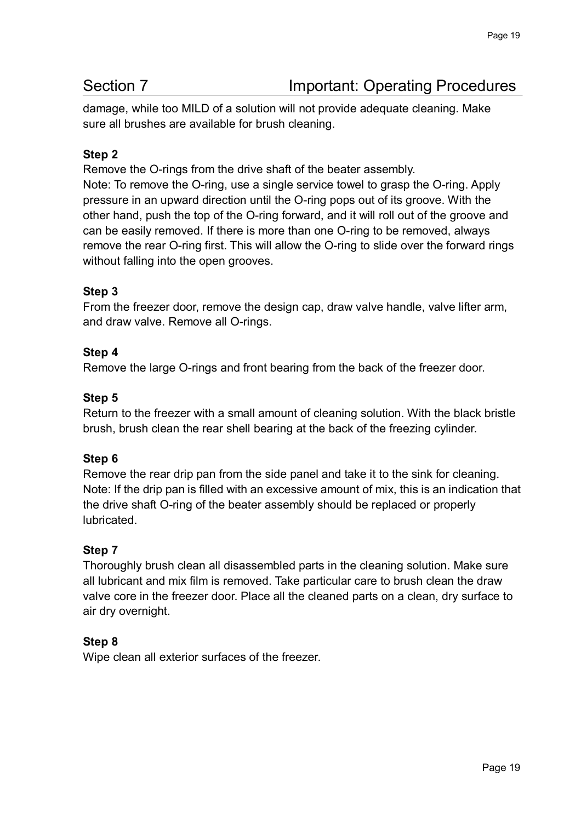damage, while too MILD of a solution will not provide adequate cleaning. Make sure all brushes are available for brush cleaning.

# **Step 2**

Remove the O-rings from the drive shaft of the beater assembly.

Note: To remove the O-ring, use a single service towel to grasp the O-ring. Apply pressure in an upward direction until the O-ring pops out of its groove. With the other hand, push the top of the O-ring forward, and it will roll out of the groove and can be easily removed. If there is more than one O-ring to be removed, always remove the rear O-ring first. This will allow the O-ring to slide over the forward rings without falling into the open grooves.

# **Step 3**

From the freezer door, remove the design cap, draw valve handle, valve lifter arm, and draw valve. Remove all O-rings.

### **Step 4**

Remove the large O-rings and front bearing from the back of the freezer door.

#### **Step 5**

Return to the freezer with a small amount of cleaning solution. With the black bristle brush, brush clean the rear shell bearing at the back of the freezing cylinder.

### **Step 6**

Remove the rear drip pan from the side panel and take it to the sink for cleaning. Note: If the drip pan is filled with an excessive amount of mix, this is an indication that the drive shaft O-ring of the beater assembly should be replaced or properly **lubricated** 

### **Step 7**

Thoroughly brush clean all disassembled parts in the cleaning solution. Make sure all lubricant and mix film is removed. Take particular care to brush clean the draw valve core in the freezer door. Place all the cleaned parts on a clean, dry surface to air dry overnight.

### **Step 8**

Wipe clean all exterior surfaces of the freezer.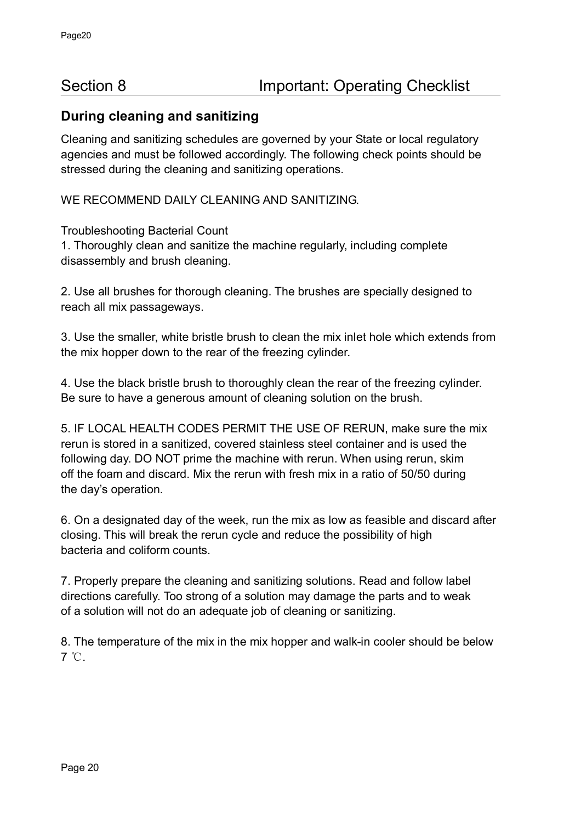# **During cleaning and sanitizing**

Cleaning and sanitizing schedules are governed by your State or local regulatory agencies and must be followed accordingly. The following check points should be stressed during the cleaning and sanitizing operations.

WE RECOMMEND DAILY CLEANING AND SANITIZING.

Troubleshooting Bacterial Count

1. Thoroughly clean and sanitize the machine regularly, including complete disassembly and brush cleaning.

2. Use all brushes for thorough cleaning. The brushes are specially designed to reach all mix passageways.

3. Use the smaller, white bristle brush to clean the mix inlet hole which extends from the mix hopper down to the rear of the freezing cylinder.

4. Use the black bristle brush to thoroughly clean the rear of the freezing cylinder. Be sure to have a generous amount of cleaning solution on the brush.

5. IF LOCAL HEALTH CODES PERMIT THE USE OF RERUN, make sure the mix rerun is stored in a sanitized, covered stainless steel container and is used the following day. DO NOT prime the machine with rerun. When using rerun, skim off the foam and discard. Mix the rerun with fresh mix in a ratio of 50/50 during the day's operation.

6. On a designated day of the week, run the mix as low as feasible and discard after closing. This will break the rerun cycle and reduce the possibility of high bacteria and coliform counts.

7. Properly prepare the cleaning and sanitizing solutions. Read and follow label directions carefully. Too strong of a solution may damage the parts and to weak of a solution will not do an adequate job of cleaning or sanitizing.

8. The temperature of the mix in the mix hopper and walk-in cooler should be below 7 ℃.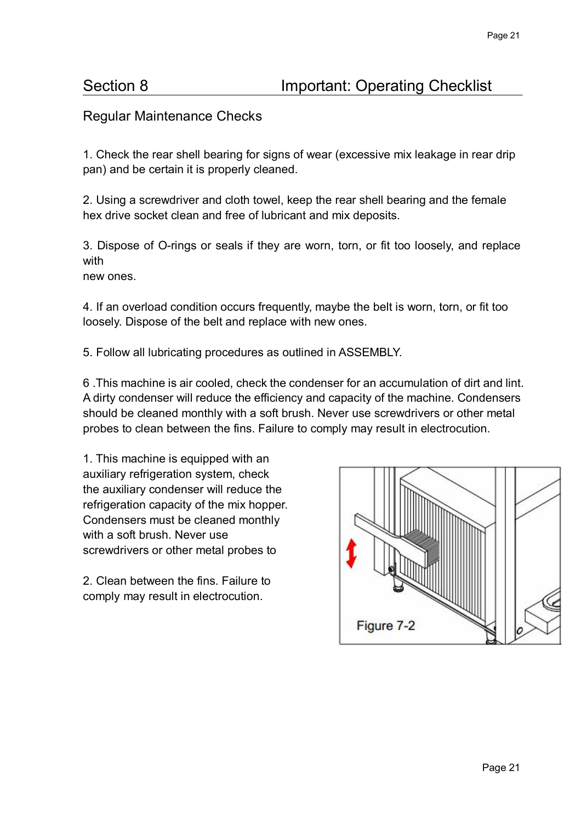# Section 8 **Important: Operating Checklist**

# Regular Maintenance Checks

1. Check the rear shell bearing for signs of wear (excessive mix leakage in rear drip pan) and be certain it is properly cleaned.

2. Using a screwdriver and cloth towel, keep the rear shell bearing and the female hex drive socket clean and free of lubricant and mix deposits.

3. Dispose of O-rings or seals if they are worn, torn, or fit too loosely, and replace with

new ones.

4. If an overload condition occurs frequently, maybe the belt is worn, torn, or fit too loosely. Dispose of the belt and replace with new ones.

5. Follow all lubricating procedures as outlined in ASSEMBLY.

6 .This machine is air cooled, check the condenser for an accumulation of dirt and lint. A dirty condenser will reduce the efficiency and capacity of the machine. Condensers should be cleaned monthly with a soft brush. Never use screwdrivers or other metal probes to clean between the fins. Failure to comply may result in electrocution.

1. This machine is equipped with an auxiliary refrigeration system, check the auxiliary condenser will reduce the refrigeration capacity of the mix hopper. Condensers must be cleaned monthly with a soft brush. Never use screwdrivers or other metal probes to

2. Clean between the fins. Failure to comply may result in electrocution.

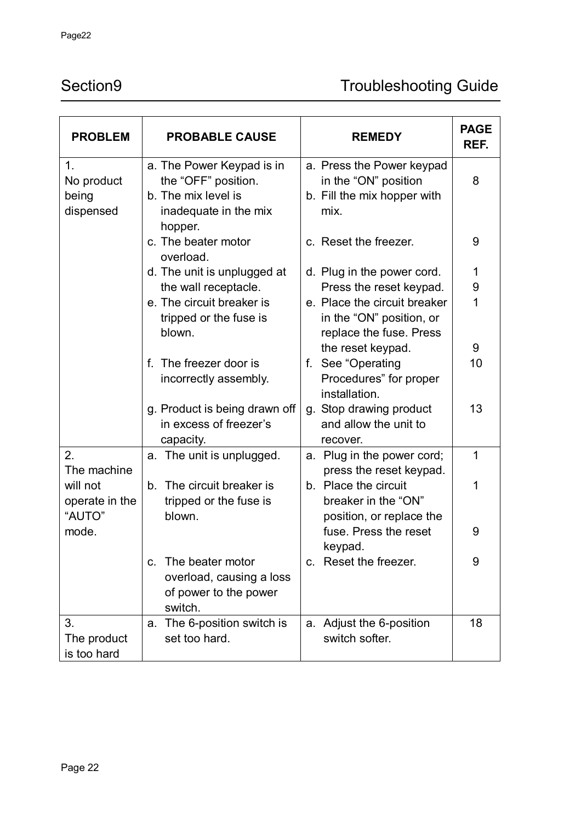# Section9 Troubleshooting Guide

| <b>PROBLEM</b>                                | <b>PROBABLE CAUSE</b>                                                                                       | <b>REMEDY</b>                                                                                            | <b>PAGE</b><br>REF. |
|-----------------------------------------------|-------------------------------------------------------------------------------------------------------------|----------------------------------------------------------------------------------------------------------|---------------------|
| 1.<br>No product<br>being<br>dispensed        | a. The Power Keypad is in<br>the "OFF" position.<br>b. The mix level is<br>inadequate in the mix<br>hopper. | a. Press the Power keypad<br>in the "ON" position<br>b. Fill the mix hopper with<br>mix.                 | 8                   |
|                                               | c. The beater motor<br>overload.                                                                            | c. Reset the freezer.                                                                                    | 9                   |
|                                               | d. The unit is unplugged at                                                                                 | d. Plug in the power cord.                                                                               | 1                   |
|                                               | the wall receptacle.                                                                                        | Press the reset keypad.                                                                                  | 9                   |
|                                               | e. The circuit breaker is<br>tripped or the fuse is<br>blown.                                               | e. Place the circuit breaker<br>in the "ON" position, or<br>replace the fuse. Press<br>the reset keypad. | 1<br>9              |
|                                               | f. The freezer door is<br>incorrectly assembly.                                                             | See "Operating<br>f.<br>Procedures" for proper<br>installation.                                          | 10                  |
|                                               | g. Product is being drawn off<br>in excess of freezer's<br>capacity.                                        | g. Stop drawing product<br>and allow the unit to<br>recover.                                             | 13                  |
| 2.<br>The machine                             | a. The unit is unplugged.                                                                                   | Plug in the power cord;<br>a.<br>press the reset keypad.                                                 | 1                   |
| will not<br>operate in the<br>"AUTO"<br>mode. | The circuit breaker is<br>b.<br>tripped or the fuse is<br>blown.                                            | b. Place the circuit<br>breaker in the "ON"<br>position, or replace the<br>fuse. Press the reset         | 1<br>9              |
|                                               |                                                                                                             | keypad.                                                                                                  |                     |
|                                               | The beater motor<br>C.<br>overload, causing a loss<br>of power to the power<br>switch.                      | Reset the freezer.<br>C.                                                                                 | 9                   |
| 3.<br>The product<br>is too hard              | The 6-position switch is<br>a.<br>set too hard.                                                             | Adjust the 6-position<br>a.<br>switch softer.                                                            | 18                  |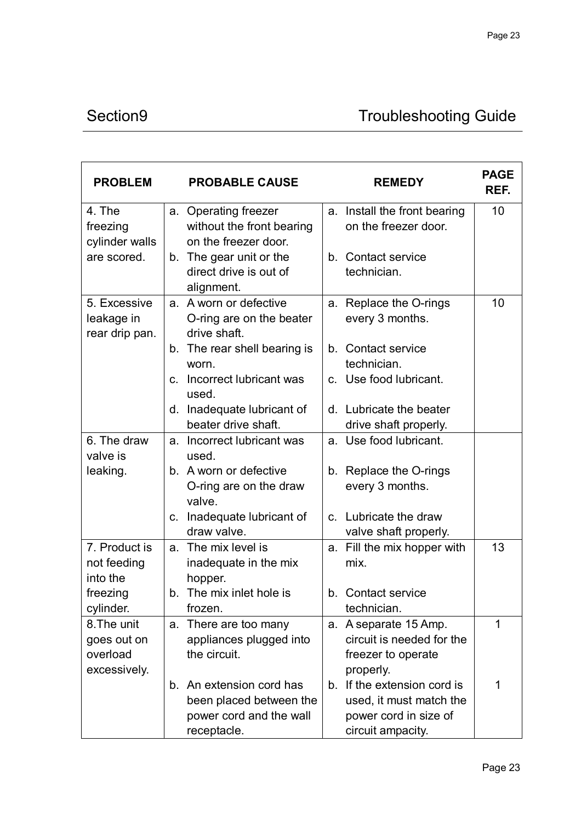# Section9 Troubleshooting Guide

| <b>PROBLEM</b>                                         |                | <b>PROBABLE CAUSE</b>                                                                         |    | <b>REMEDY</b>                                                                                     | <b>PAGE</b><br>REF. |
|--------------------------------------------------------|----------------|-----------------------------------------------------------------------------------------------|----|---------------------------------------------------------------------------------------------------|---------------------|
| 4. The<br>freezing<br>cylinder walls                   |                | a. Operating freezer<br>without the front bearing<br>on the freezer door.                     |    | a. Install the front bearing<br>on the freezer door.                                              | 10                  |
| are scored.                                            | b.             | The gear unit or the<br>direct drive is out of<br>alignment.                                  |    | b. Contact service<br>technician.                                                                 |                     |
| 5. Excessive<br>leakage in<br>rear drip pan.           |                | a. A worn or defective<br>O-ring are on the beater<br>drive shaft.                            | a. | Replace the O-rings<br>every 3 months.                                                            | 10                  |
|                                                        | b.             | The rear shell bearing is<br>worn.                                                            |    | b. Contact service<br>technician.                                                                 |                     |
|                                                        | C.             | Incorrect lubricant was<br>used.                                                              |    | c. Use food lubricant.                                                                            |                     |
|                                                        | d.             | Inadequate Iubricant of<br>beater drive shaft.                                                |    | d. Lubricate the beater<br>drive shaft properly.                                                  |                     |
| 6. The draw<br>valve is                                |                | a. Incorrect lubricant was<br>used.                                                           |    | a. Use food lubricant.                                                                            |                     |
| leaking.                                               |                | b. A worn or defective<br>O-ring are on the draw<br>valve.                                    |    | b. Replace the O-rings<br>every 3 months.                                                         |                     |
|                                                        | $\mathsf{C}$ . | Inadequate Iubricant of<br>draw valve.                                                        |    | c. Lubricate the draw<br>valve shaft properly.                                                    |                     |
| 7. Product is<br>not feeding<br>into the               | a.             | The mix level is<br>inadequate in the mix<br>hopper.                                          | a. | Fill the mix hopper with<br>mix.                                                                  | 13                  |
| freezing<br>cylinder.                                  |                | b. The mix inlet hole is<br>frozen.                                                           |    | b. Contact service<br>technician.                                                                 |                     |
| 8. The unit<br>goes out on<br>overload<br>excessively. | a.             | There are too many<br>appliances plugged into<br>the circuit.                                 | a. | A separate 15 Amp.<br>circuit is needed for the<br>freezer to operate<br>properly.                | 1                   |
|                                                        |                | b. An extension cord has<br>been placed between the<br>power cord and the wall<br>receptacle. | b. | If the extension cord is<br>used, it must match the<br>power cord in size of<br>circuit ampacity. | 1                   |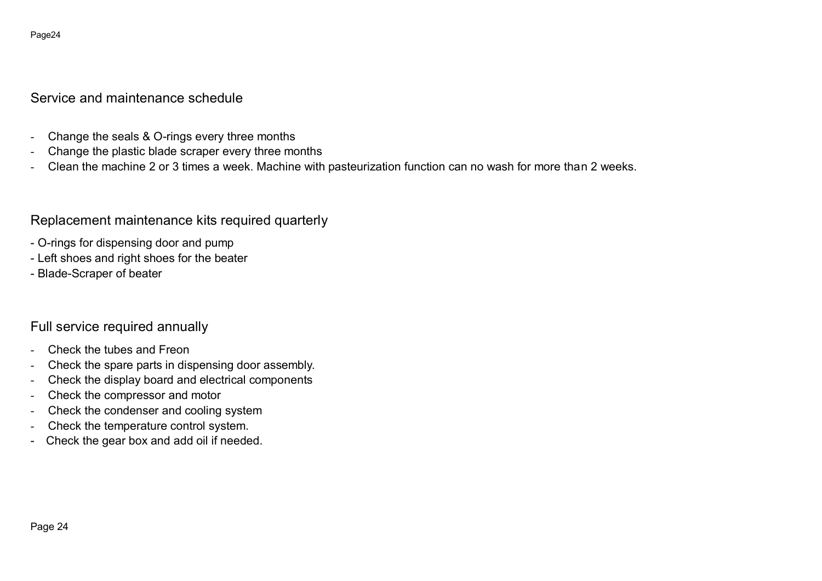#### Page24

# Service and maintenance schedule

- Change the seals & O-rings every three months
- Change the plastic blade scraper every three months
- Clean the machine 2 or 3 times a week. Machine with pasteurization function can no wash for more than 2 weeks.

Replacement maintenance kits required quarterly

- O-rings for dispensing door and pump
- Left shoes and right shoes for the beater
- Blade-Scraper of beater

# Full service required annually

- Check the tubes and Freon
- Check the spare parts in dispensing door assembly.
- Check the display board and electrical components
- Check the compressor and motor
- Check the condenser and cooling system
- Check the temperature control system.
- Check the gear box and add oil if needed.